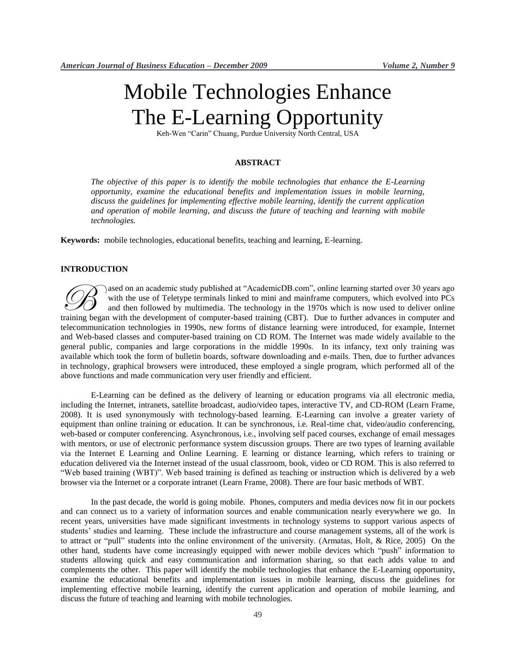# Mobile Technologies Enhance The E-Learning Opportunity

Keh-Wen "Carin" Chuang, Purdue University North Central, USA

## **ABSTRACT**

*The objective of this paper is to identify the mobile technologies that enhance the E-Learning opportunity, examine the educational benefits and implementation issues in mobile learning, discuss the guidelines for implementing effective mobile learning, identify the current application and operation of mobile learning, and discuss the future of teaching and learning with mobile technologies.*

**Keywords:** mobile technologies, educational benefits, teaching and learning, E-learning.

#### **INTRODUCTION**

ased on an academic study published at "AcademicDB.com", online learning started over 30 years ago with the use of Teletype terminals linked to mini and mainframe computers, which evolved into PCs and then followed by multimedia. The technology in the 1970s which is now used to deliver online and on an academic study published at "AcademicDB.com", online learning started over 30 years ago with the use of Teletype terminals linked to mini and mainframe computers, which evolved into PCs and then followed by multi telecommunication technologies in 1990s, new forms of distance learning were introduced, for example, Internet and Web-based classes and computer-based training on CD ROM. The Internet was made widely available to the general public, companies and large corporations in the middle 1990s. In its infancy, text only training was available which took the form of bulletin boards, software downloading and e-mails. Then, due to further advances in technology, graphical browsers were introduced, these employed a single program, which performed all of the above functions and made communication very user friendly and efficient.

E-Learning can be defined as the delivery of learning or education programs via all electronic media, including the Internet, intranets, satellite broadcast, audio/video tapes, interactive TV, and CD-ROM (Learn Frame, 2008). It is used synonymously with technology-based learning. E-Learning can involve a greater variety of equipment than online training or education. It can be synchronous, i.e. Real-time chat, video/audio conferencing, web-based or computer conferencing. Asynchronous, i.e., involving self paced courses, exchange of email messages with mentors, or use of electronic performance system discussion groups. There are two types of learning available via the Internet E Learning and Online Learning. E learning or distance learning, which refers to training or education delivered via the Internet instead of the usual classroom, book, video or CD ROM. This is also referred to "Web based training (WBT)". Web based training is defined as teaching or instruction which is delivered by a web browser via the Internet or a corporate intranet (Learn Frame, 2008). There are four basic methods of WBT.

In the past decade, the world is going mobile. Phones, computers and media devices now fit in our pockets and can connect us to a variety of information sources and enable communication nearly everywhere we go. In recent years, universities have made significant investments in technology systems to support various aspects of students' studies and learning. These include the infrastructure and course management systems, all of the work is to attract or "pull" students into the online environment of the university. (Armatas, Holt, & Rice, 2005) On the other hand, students have come increasingly equipped with newer mobile devices which "push" information to students allowing quick and easy communication and information sharing, so that each adds value to and complements the other. This paper will identify the mobile technologies that enhance the E-Learning opportunity, examine the educational benefits and implementation issues in mobile learning, discuss the guidelines for implementing effective mobile learning, identify the current application and operation of mobile learning, and discuss the future of teaching and learning with mobile technologies.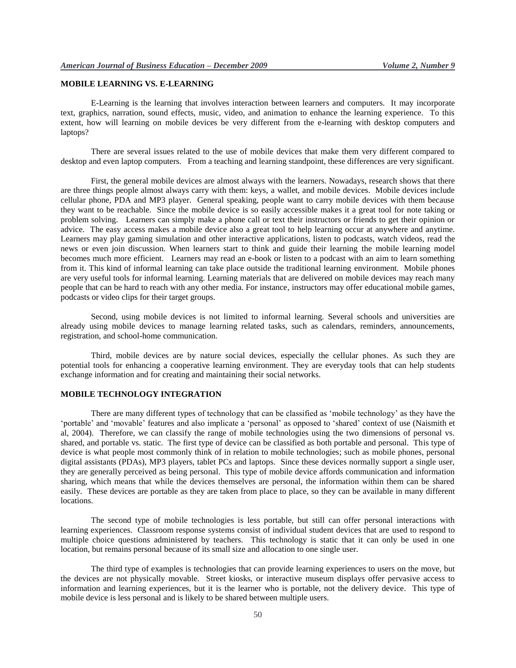## **MOBILE LEARNING VS. E-LEARNING**

E-Learning is the learning that involves interaction between learners and computers. It may incorporate text, graphics, narration, sound effects, music, video, and animation to enhance the learning experience. To this extent, how will learning on mobile devices be very different from the e-learning with desktop computers and laptops?

There are several issues related to the use of mobile devices that make them very different compared to desktop and even laptop computers. From a teaching and learning standpoint, these differences are very significant.

First, the general mobile devices are almost always with the learners. Nowadays, research shows that there are three things people almost always carry with them: keys, a wallet, and mobile devices. Mobile devices include cellular phone, PDA and MP3 player. General speaking, people want to carry mobile devices with them because they want to be reachable. Since the mobile device is so easily accessible makes it a great tool for note taking or problem solving. Learners can simply make a phone call or text their instructors or friends to get their opinion or advice. The easy access makes a mobile device also a great tool to help learning occur at anywhere and anytime. Learners may play gaming simulation and other interactive applications, listen to podcasts, watch videos, read the news or even join discussion. When learners start to think and guide their learning the mobile learning model becomes much more efficient. Learners may read an e-book or listen to a podcast with an aim to learn something from it. This kind of informal learning can take place outside the traditional learning environment. Mobile phones are very useful tools for informal learning. Learning materials that are delivered on mobile devices may reach many people that can be hard to reach with any other media. For instance, instructors may offer educational mobile games, podcasts or video clips for their target groups.

Second, using mobile devices is not limited to informal learning. Several schools and universities are already using mobile devices to manage learning related tasks, such as calendars, reminders, announcements, registration, and school-home communication.

Third, mobile devices are by nature social devices, especially the cellular phones. As such they are potential tools for enhancing a cooperative learning environment. They are everyday tools that can help students exchange information and for creating and maintaining their social networks.

#### **MOBILE TECHNOLOGY INTEGRATION**

There are many different types of technology that can be classified as "mobile technology" as they have the "portable" and "movable" features and also implicate a "personal" as opposed to "shared" context of use (Naismith et al, 2004). Therefore, we can classify the range of mobile technologies using the two dimensions of personal vs. shared, and portable vs. static. The first type of device can be classified as both portable and personal. This type of device is what people most commonly think of in relation to mobile technologies; such as mobile phones, personal digital assistants (PDAs), MP3 players, tablet PCs and laptops. Since these devices normally support a single user, they are generally perceived as being personal. This type of mobile device affords communication and information sharing, which means that while the devices themselves are personal, the information within them can be shared easily. These devices are portable as they are taken from place to place, so they can be available in many different locations.

The second type of mobile technologies is less portable, but still can offer personal interactions with learning experiences. Classroom response systems consist of individual student devices that are used to respond to multiple choice questions administered by teachers. This technology is static that it can only be used in one location, but remains personal because of its small size and allocation to one single user.

The third type of examples is technologies that can provide learning experiences to users on the move, but the devices are not physically movable. Street kiosks, or interactive museum displays offer pervasive access to information and learning experiences, but it is the learner who is portable, not the delivery device. This type of mobile device is less personal and is likely to be shared between multiple users.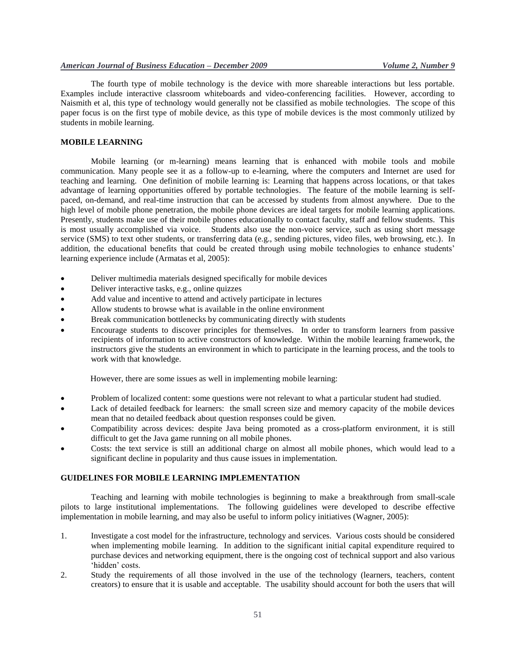The fourth type of mobile technology is the device with more shareable interactions but less portable. Examples include interactive classroom whiteboards and video-conferencing facilities. However, according to Naismith et al, this type of technology would generally not be classified as mobile technologies. The scope of this paper focus is on the first type of mobile device, as this type of mobile devices is the most commonly utilized by students in mobile learning.

#### **MOBILE LEARNING**

Mobile learning (or m-learning) means learning that is enhanced with mobile tools and mobile communication. Many people see it as a follow-up to e-learning, where the computers and Internet are used for teaching and learning. One definition of mobile learning is: Learning that happens across locations, or that takes advantage of learning opportunities offered by portable technologies. The feature of the mobile learning is selfpaced, on-demand, and real-time instruction that can be accessed by students from almost anywhere. Due to the high level of mobile phone penetration, the mobile phone devices are ideal targets for mobile learning applications. Presently, students make use of their mobile phones educationally to contact faculty, staff and fellow students. This is most usually accomplished via voice. Students also use the non-voice service, such as using short message service (SMS) to text other students, or transferring data (e.g., sending pictures, video files, web browsing, etc.). In addition, the educational benefits that could be created through using mobile technologies to enhance students' learning experience include (Armatas et al, 2005):

- Deliver multimedia materials designed specifically for mobile devices
- Deliver interactive tasks, e.g., online quizzes
- Add value and incentive to attend and actively participate in lectures
- Allow students to browse what is available in the online environment
- Break communication bottlenecks by communicating directly with students
- Encourage students to discover principles for themselves. In order to transform learners from passive recipients of information to active constructors of knowledge. Within the mobile learning framework, the instructors give the students an environment in which to participate in the learning process, and the tools to work with that knowledge.

However, there are some issues as well in implementing mobile learning:

- Problem of localized content: some questions were not relevant to what a particular student had studied.
- Lack of detailed feedback for learners: the small screen size and memory capacity of the mobile devices mean that no detailed feedback about question responses could be given.
- Compatibility across devices: despite Java being promoted as a cross-platform environment, it is still difficult to get the Java game running on all mobile phones.
- Costs: the text service is still an additional charge on almost all mobile phones, which would lead to a significant decline in popularity and thus cause issues in implementation.

#### **GUIDELINES FOR MOBILE LEARNING IMPLEMENTATION**

Teaching and learning with mobile technologies is beginning to make a breakthrough from small-scale pilots to large institutional implementations. The following guidelines were developed to describe effective implementation in mobile learning, and may also be useful to inform policy initiatives (Wagner, 2005):

- 1. Investigate a cost model for the infrastructure, technology and services. Various costs should be considered when implementing mobile learning. In addition to the significant initial capital expenditure required to purchase devices and networking equipment, there is the ongoing cost of technical support and also various 'hidden' costs.
- 2. Study the requirements of all those involved in the use of the technology (learners, teachers, content creators) to ensure that it is usable and acceptable. The usability should account for both the users that will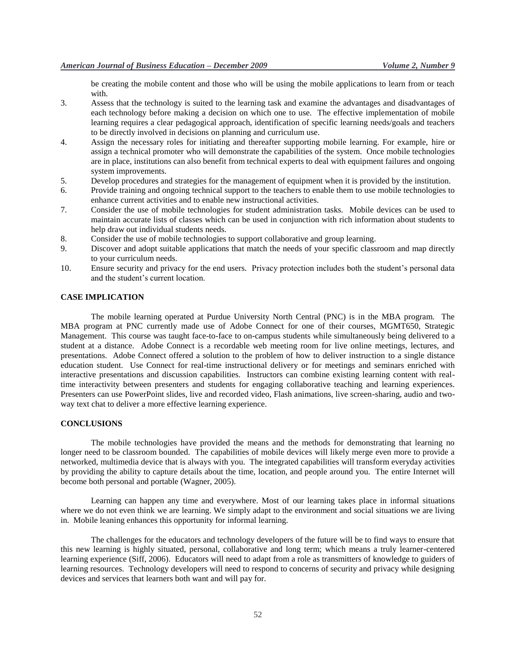be creating the mobile content and those who will be using the mobile applications to learn from or teach with.

- 3. Assess that the technology is suited to the learning task and examine the advantages and disadvantages of each technology before making a decision on which one to use. The effective implementation of mobile learning requires a clear pedagogical approach, identification of specific learning needs/goals and teachers to be directly involved in decisions on planning and curriculum use.
- 4. Assign the necessary roles for initiating and thereafter supporting mobile learning. For example, hire or assign a technical promoter who will demonstrate the capabilities of the system. Once mobile technologies are in place, institutions can also benefit from technical experts to deal with equipment failures and ongoing system improvements.
- 5. Develop procedures and strategies for the management of equipment when it is provided by the institution.
- 6. Provide training and ongoing technical support to the teachers to enable them to use mobile technologies to enhance current activities and to enable new instructional activities.
- 7. Consider the use of mobile technologies for student administration tasks. Mobile devices can be used to maintain accurate lists of classes which can be used in conjunction with rich information about students to help draw out individual students needs.
- 8. Consider the use of mobile technologies to support collaborative and group learning.
- 9. Discover and adopt suitable applications that match the needs of your specific classroom and map directly to your curriculum needs.
- 10. Ensure security and privacy for the end users. Privacy protection includes both the student"s personal data and the student"s current location.

## **CASE IMPLICATION**

The mobile learning operated at Purdue University North Central (PNC) is in the MBA program. The MBA program at PNC currently made use of Adobe Connect for one of their courses, MGMT650, Strategic Management. This course was taught face-to-face to on-campus students while simultaneously being delivered to a student at a distance. Adobe Connect is a recordable web meeting room for live online meetings, lectures, and presentations. Adobe Connect offered a solution to the problem of how to deliver instruction to a single distance education student. Use Connect for real-time instructional delivery or for meetings and seminars enriched with interactive presentations and discussion capabilities. Instructors can combine existing learning content with realtime interactivity between presenters and students for engaging collaborative teaching and learning experiences. Presenters can use PowerPoint slides, live and recorded video, Flash animations, live screen-sharing, audio and twoway text chat to deliver a more effective learning experience.

### **CONCLUSIONS**

The mobile technologies have provided the means and the methods for demonstrating that learning no longer need to be classroom bounded. The capabilities of mobile devices will likely merge even more to provide a networked, multimedia device that is always with you. The integrated capabilities will transform everyday activities by providing the ability to capture details about the time, location, and people around you. The entire Internet will become both personal and portable (Wagner, 2005).

Learning can happen any time and everywhere. Most of our learning takes place in informal situations where we do not even think we are learning. We simply adapt to the environment and social situations we are living in. Mobile leaning enhances this opportunity for informal learning.

The challenges for the educators and technology developers of the future will be to find ways to ensure that this new learning is highly situated, personal, collaborative and long term; which means a truly learner-centered learning experience (Siff, 2006). Educators will need to adapt from a role as transmitters of knowledge to guiders of learning resources. Technology developers will need to respond to concerns of security and privacy while designing devices and services that learners both want and will pay for.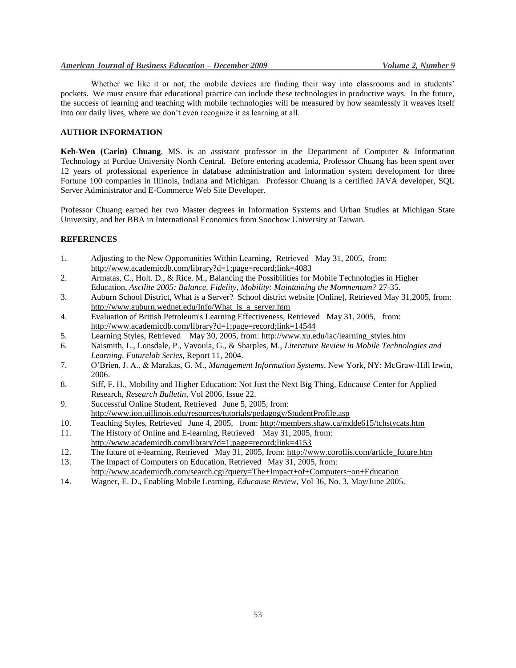Whether we like it or not, the mobile devices are finding their way into classrooms and in students' pockets. We must ensure that educational practice can include these technologies in productive ways. In the future, the success of learning and teaching with mobile technologies will be measured by how seamlessly it weaves itself into our daily lives, where we don"t even recognize it as learning at all.

## **AUTHOR INFORMATION**

**Keh-Wen (Carin) Chuang**, MS. is an assistant professor in the Department of Computer & Information Technology at Purdue University North Central. Before entering academia, Professor Chuang has been spent over 12 years of professional experience in database administration and information system development for three Fortune 100 companies in Illinois, Indiana and Michigan. Professor Chuang is a certified JAVA developer, SQL Server Administrator and E-Commerce Web Site Developer.

Professor Chuang earned her two Master degrees in Information Systems and Urban Studies at Michigan State University, and her BBA in International Economics from Soochow University at Taiwan.

#### **REFERENCES**

- 1. Adjusting to the New Opportunities Within Learning, Retrieved May 31, 2005, from: http://www.academicdb.com/library?d=1;page=record;link=4083
- 2. Armatas, C., Holt. D., & Rice. M., Balancing the Possibilities for Mobile Technologies in Higher Education, *Ascilite 2005: Balance, Fidelity, Mobility: Maintaining the Momnentum?* 27-35.
- 3. Auburn School District, What is a Server? School district website [Online], Retrieved May 31,2005, from: http://www.auburn.wednet.edu/Info/What\_is\_a\_server.htm
- 4. Evaluation of British Petroleum's Learning Effectiveness, Retrieved May 31, 2005, from: http://www.academicdb.com/library?d=1;page=record;link=14544
- 5. Learning Styles, Retrieved May 30, 2005, from: http://www.xu.edu/lac/learning\_styles.htm
- 6. Naismith, L., Lonsdale, P., Vavoula, G., & Sharples, M., *Literature Review in Mobile Technologies and Learning, Futurelab Series,* Report 11, 2004.
- 7. O"Brien, J. A., & Marakas, G. M., *Management Information Systems*, New York, NY: McGraw-Hill Irwin, 2006.
- 8. Siff, F. H., Mobility and Higher Education: Not Just the Next Big Thing, Educause Center for Applied Research, *Research Bulletin*, Vol 2006, Issue 22.
- 9. Successful Online Student, Retrieved June 5, 2005, from: http://www.ion.uillinois.edu/resources/tutorials/pedagogy/StudentProfile.asp
- 10. Teaching Styles, Retrieved June 4, 2005, from: http://members.shaw.ca/mdde615/tchstycats.htm
- 11. The History of Online and E-learning, Retrieved May 31, 2005, from: http://www.academicdb.com/library?d=1;page=record;link=4153
- 12. The future of e-learning, Retrieved May 31, 2005, from: http://www.corollis.com/article\_future.htm
- 13. The Impact of Computers on Education, Retrieved May 31, 2005, from: http://www.academicdb.com/search.cgi?query=The+Impact+of+Computers+on+Education
- 14. Wagner, E. D., Enabling Mobile Learning, *Educause Review,* Vol 36, No. 3, May/June 2005.